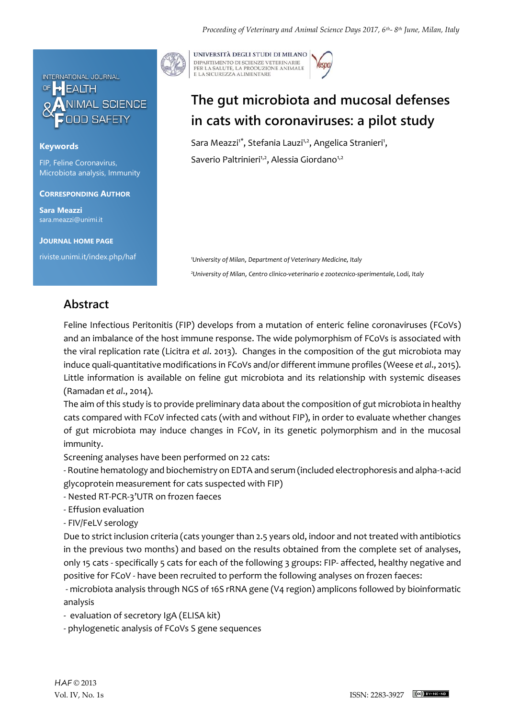

## **Keywords**

FIP, Feline Coronavirus, Microbiota analysis, Immunity

### **CORRESPONDING AUTHOR**

**Sara Meazzi** sara.meazzi@unimi.it

**JOURNAL HOME PAGE**

riviste.unimi.it/index.php/haf

UNIVERSITÀ DEGLI STUDI DI MILANO DIPARTIMENTO DI SCIENZE VETERINARIE PER LA SALUTE, LA PRODUZIONE ANIMALE<br>E LA SICUREZZA ALIMENTARE

# **The gut microbiota and mucosal defenses in cats with coronaviruses: a pilot study**

Sara Meazzi<sup>1\*</sup>, Stefania Lauzi<sup>1,2</sup>, Angelica Stranieri<sup>1</sup>, Saverio Paltrinieri<sup>1,2</sup>, Alessia Giordano<sup>1,2</sup>

*<sup>1</sup>University of Milan*, *Department of Veterinary Medicine, Italy <sup>2</sup>University of Milan*, *Centro clinico-veterinario e zootecnico-sperimentale, Lodi, Italy*

## **Abstract**

Feline Infectious Peritonitis (FIP) develops from a mutation of enteric feline coronaviruses (FCoVs) and an imbalance of the host immune response. The wide polymorphism of FCoVs is associated with the viral replication rate (Licitra *et al*. 2013). Changes in the composition of the gut microbiota may induce quali-quantitative modifications in FCoVs and/or different immune profiles (Weese *et al*., 2015). Little information is available on feline gut microbiota and its relationship with systemic diseases (Ramadan *et al*., 2014).

The aim of this study is to provide preliminary data about the composition of gut microbiota in healthy cats compared with FCoV infected cats (with and without FIP), in order to evaluate whether changes of gut microbiota may induce changes in FCoV, in its genetic polymorphism and in the mucosal immunity.

Screening analyses have been performed on 22 cats:

- Routine hematology and biochemistry on EDTA and serum (included electrophoresis and alpha-1-acid glycoprotein measurement for cats suspected with FIP)

- Nested RT-PCR-3'UTR on frozen faeces
- Effusion evaluation
- FIV/FeLV serology

Due to strict inclusion criteria (cats younger than 2.5 years old, indoor and not treated with antibiotics in the previous two months) and based on the results obtained from the complete set of analyses, only 15 cats - specifically 5 cats for each of the following 3 groups: FIP- affected, healthy negative and positive for FCoV - have been recruited to perform the following analyses on frozen faeces:

- microbiota analysis through NGS of 16S rRNA gene (V4 region) amplicons followed by bioinformatic analysis

- evaluation of secretory IgA (ELISA kit)

- phylogenetic analysis of FCoVs S gene sequences